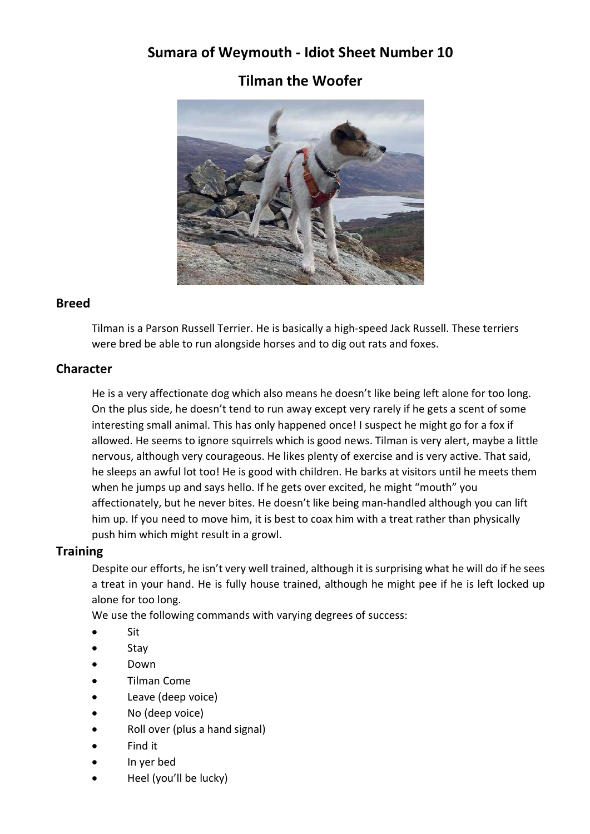# Sumara of Weymouth - Idiot Sheet Number 10

# Tilman the Woofer



#### Breed

Tilman is a Parson Russell Terrier. He is basically a high-speed Jack Russell. These terriers were bred be able to run alongside horses and to dig out rats and foxes.

### **Character**

He is a very affectionate dog which also means he doesn't like being left alone for too long. On the plus side, he doesn't tend to run away except very rarely if he gets a scent of some interesting small animal. This has only happened once! I suspect he might go for a fox if allowed. He seems to ignore squirrels which is good news. Tilman is very alert, maybe a little nervous, although very courageous. He likes plenty of exercise and is very active. That said, he sleeps an awful lot too! He is good with children. He barks at visitors until he meets them when he jumps up and says hello. If he gets over excited, he might "mouth" you affectionately, but he never bites. He doesn't like being man-handled although you can lift him up. If you need to move him, it is best to coax him with a treat rather than physically push him which might result in a growl.

### **Training**

Despite our efforts, he isn't very well trained, although it is surprising what he will do if he sees a treat in your hand. He is fully house trained, although he might pee if he is left locked up alone for too long.

We use the following commands with varying degrees of success:

- Sit
- Stay
- Down
- Tilman Come
- Leave (deep voice)
- No (deep voice)
- Roll over (plus a hand signal)
- Find it
- In yer bed
- Heel (you'll be lucky)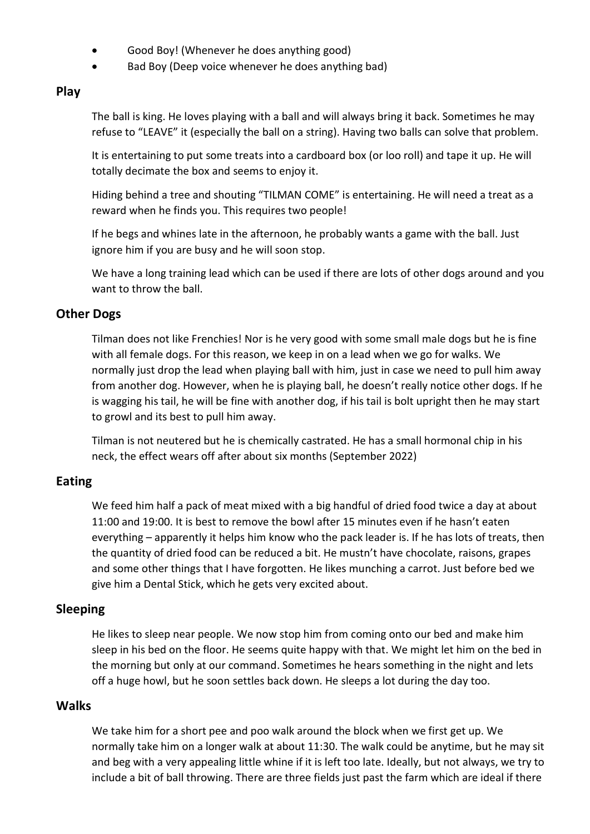- Good Boy! (Whenever he does anything good)
- Bad Boy (Deep voice whenever he does anything bad)

### Play

The ball is king. He loves playing with a ball and will always bring it back. Sometimes he may refuse to "LEAVE" it (especially the ball on a string). Having two balls can solve that problem.

It is entertaining to put some treats into a cardboard box (or loo roll) and tape it up. He will totally decimate the box and seems to enjoy it.

Hiding behind a tree and shouting "TILMAN COME" is entertaining. He will need a treat as a reward when he finds you. This requires two people!

If he begs and whines late in the afternoon, he probably wants a game with the ball. Just ignore him if you are busy and he will soon stop.

We have a long training lead which can be used if there are lots of other dogs around and you want to throw the ball.

### Other Dogs

Tilman does not like Frenchies! Nor is he very good with some small male dogs but he is fine with all female dogs. For this reason, we keep in on a lead when we go for walks. We normally just drop the lead when playing ball with him, just in case we need to pull him away from another dog. However, when he is playing ball, he doesn't really notice other dogs. If he is wagging his tail, he will be fine with another dog, if his tail is bolt upright then he may start to growl and its best to pull him away.

Tilman is not neutered but he is chemically castrated. He has a small hormonal chip in his neck, the effect wears off after about six months (September 2022)

### Eating

We feed him half a pack of meat mixed with a big handful of dried food twice a day at about 11:00 and 19:00. It is best to remove the bowl after 15 minutes even if he hasn't eaten everything – apparently it helps him know who the pack leader is. If he has lots of treats, then the quantity of dried food can be reduced a bit. He mustn't have chocolate, raisons, grapes and some other things that I have forgotten. He likes munching a carrot. Just before bed we give him a Dental Stick, which he gets very excited about.

## Sleeping

He likes to sleep near people. We now stop him from coming onto our bed and make him sleep in his bed on the floor. He seems quite happy with that. We might let him on the bed in the morning but only at our command. Sometimes he hears something in the night and lets off a huge howl, but he soon settles back down. He sleeps a lot during the day too.

### **Walks**

We take him for a short pee and poo walk around the block when we first get up. We normally take him on a longer walk at about 11:30. The walk could be anytime, but he may sit and beg with a very appealing little whine if it is left too late. Ideally, but not always, we try to include a bit of ball throwing. There are three fields just past the farm which are ideal if there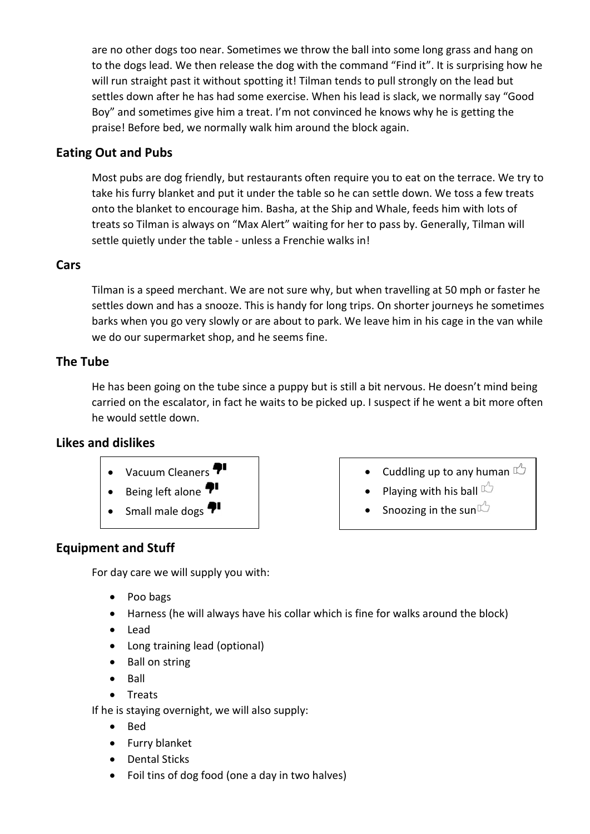are no other dogs too near. Sometimes we throw the ball into some long grass and hang on to the dogs lead. We then release the dog with the command "Find it". It is surprising how he will run straight past it without spotting it! Tilman tends to pull strongly on the lead but settles down after he has had some exercise. When his lead is slack, we normally say "Good Boy" and sometimes give him a treat. I'm not convinced he knows why he is getting the praise! Before bed, we normally walk him around the block again.

## Eating Out and Pubs

Most pubs are dog friendly, but restaurants often require you to eat on the terrace. We try to take his furry blanket and put it under the table so he can settle down. We toss a few treats onto the blanket to encourage him. Basha, at the Ship and Whale, feeds him with lots of treats so Tilman is always on "Max Alert" waiting for her to pass by. Generally, Tilman will settle quietly under the table - unless a Frenchie walks in!

### Cars

Tilman is a speed merchant. We are not sure why, but when travelling at 50 mph or faster he settles down and has a snooze. This is handy for long trips. On shorter journeys he sometimes barks when you go very slowly or are about to park. We leave him in his cage in the van while we do our supermarket shop, and he seems fine.

### The Tube

He has been going on the tube since a puppy but is still a bit nervous. He doesn't mind being carried on the escalator, in fact he waits to be picked up. I suspect if he went a bit more often he would settle down.

### Likes and dislikes



Small male dogs  $\P^{\bullet}$ 

- Cuddling up to any human  $\mathbb{C}$
- Playing with his ball  $\mathbb{C}$
- Snoozing in the sun  $\mathbb{Z}$

## Equipment and Stuff

For day care we will supply you with:

- Poo bags
- Harness (he will always have his collar which is fine for walks around the block)
- Lead
- Long training lead (optional)
- Ball on string
- $\bullet$  Ball
- Treats

If he is staying overnight, we will also supply:

- $\bullet$  Bed
- Furry blanket
- Dental Sticks
- Foil tins of dog food (one a day in two halves)